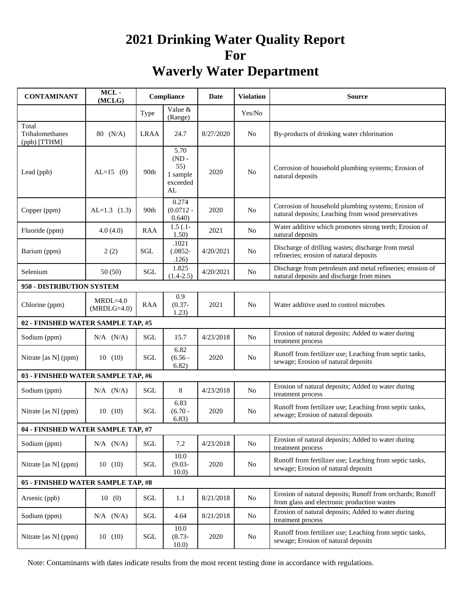# **2021 Drinking Water Quality Report For Waverly Water Department**

| <b>CONTAMINANT</b>                       | MCL-<br>(MCLG)              | Compliance                    |                                                      | Date      | <b>Violation</b> | Source                                                                                                    |
|------------------------------------------|-----------------------------|-------------------------------|------------------------------------------------------|-----------|------------------|-----------------------------------------------------------------------------------------------------------|
|                                          |                             | Type                          | Value &<br>(Range)                                   |           | Yes/No           |                                                                                                           |
| Total<br>Trihalomethanes<br>(ppb) [TTHM] | 80 (N/A)                    | <b>LRAA</b>                   | 24.7                                                 | 8/27/2020 | N <sub>0</sub>   | By-products of drinking water chlorination                                                                |
| Lead (ppb)                               | $AL=15$ (0)                 | 90th                          | 5.70<br>$(ND -$<br>55)<br>1 sample<br>exceeded<br>AL | 2020      | N <sub>0</sub>   | Corrosion of household plumbing systems; Erosion of<br>natural deposits                                   |
| Copper (ppm)                             | $AL=1.3$ (1.3)              | 90th                          | 0.274<br>$(0.0712 -$<br>0.640                        | 2020      | N <sub>o</sub>   | Corrosion of household plumbing systems; Erosion of<br>natural deposits; Leaching from wood preservatives |
| Fluoride (ppm)                           | 4.0(4.0)                    | <b>RAA</b>                    | $1.5(.1 -$<br>1.50)                                  | 2021      | N <sub>o</sub>   | Water additive which promotes strong teeth; Erosion of<br>natural deposits                                |
| Barium (ppm)                             | 2(2)                        | SGL                           | .1021<br>$(.0852 -$<br>.126)                         | 4/20/2021 | No               | Discharge of drilling wastes; discharge from metal<br>refineries; erosion of natural deposits             |
| Selenium                                 | 50(50)                      | SGL                           | 1.825<br>$(1.4 - 2.5)$                               | 4/20/2021 | No               | Discharge from petroleum and metal refineries; erosion of<br>natural deposits and discharge from mines    |
| 950 - DISTRIBUTION SYSTEM                |                             |                               |                                                      |           |                  |                                                                                                           |
| Chlorine (ppm)                           | $MRDL=4.0$<br>$(MRDLG=4.0)$ | <b>RAA</b>                    | 0.9<br>$(0.37 -$<br>1.23)                            | 2021      | N <sub>0</sub>   | Water additive used to control microbes                                                                   |
| 02 - FINISHED WATER SAMPLE TAP, #5       |                             |                               |                                                      |           |                  |                                                                                                           |
| Sodium (ppm)                             | $N/A$ $(N/A)$               | SGL                           | 15.7                                                 | 4/23/2018 | N <sub>0</sub>   | Erosion of natural deposits; Added to water during<br>treatment process                                   |
| Nitrate [as N] (ppm)                     | 10(10)                      | SGL                           | 6.82<br>$(6.56 -$<br>6.82)                           | 2020      | No               | Runoff from fertilizer use; Leaching from septic tanks,<br>sewage; Erosion of natural deposits            |
| 03 - FINISHED WATER SAMPLE TAP, #6       |                             |                               |                                                      |           |                  |                                                                                                           |
| Sodium (ppm)                             | $N/A$ $(N/A)$               | SGL                           | 8                                                    | 4/23/2018 | N <sub>0</sub>   | Erosion of natural deposits; Added to water during<br>treatment process                                   |
| Nitrate [as N] (ppm)                     | 10(10)                      | SGL                           | 6.83<br>$(6.70 -$<br>6.83)                           | 2020      | No               | Runoff from fertilizer use; Leaching from septic tanks,<br>sewage; Erosion of natural deposits            |
| 04 - FINISHED WATER SAMPLE TAP, #7       |                             |                               |                                                      |           |                  |                                                                                                           |
| Sodium (ppm)                             | $N/A$ $(N/A)$               | SGL                           | 7.2                                                  | 4/23/2018 | No               | Erosion of natural deposits; Added to water during<br>treatment process                                   |
| Nitrate [as N] (ppm)                     | 10(10)                      | SGL                           | 10.0<br>$(9.03 -$<br>10.0)                           | 2020      | No               | Runoff from fertilizer use; Leaching from septic tanks,<br>sewage; Erosion of natural deposits            |
| 05 - FINISHED WATER SAMPLE TAP, #8       |                             |                               |                                                      |           |                  |                                                                                                           |
| Arsenic (ppb)                            | 10(0)                       | $\operatorname{\mathbf{SGL}}$ | 1.1                                                  | 8/21/2018 | No               | Erosion of natural deposits; Runoff from orchards; Runoff<br>from glass and electronic production wastes  |
| Sodium (ppm)                             | $N/A$ $(N/A)$               | $\operatorname{\mathbf{SGL}}$ | 4.64                                                 | 8/21/2018 | No               | Erosion of natural deposits; Added to water during<br>treatment process                                   |
| Nitrate [as N] (ppm)                     | 10(10)                      | SGL                           | 10.0<br>$(8.73 -$<br>10.0)                           | 2020      | No               | Runoff from fertilizer use; Leaching from septic tanks,<br>sewage; Erosion of natural deposits            |

Note: Contaminants with dates indicate results from the most recent testing done in accordance with regulations.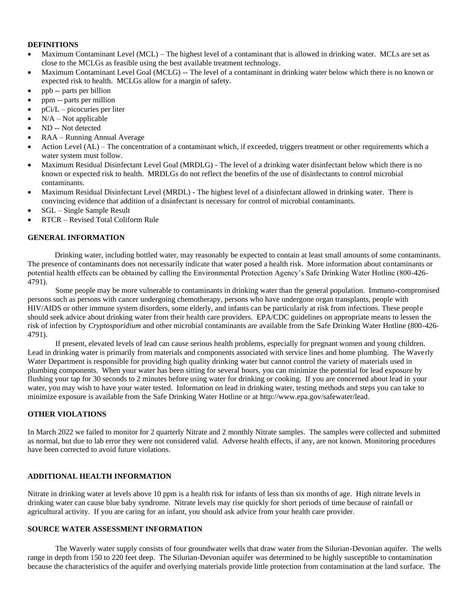#### **DEFINITIONS**

- Maximum Contaminant Level (MCL) The highest level of a contaminant that is allowed in drinking water. MCLs are set as close to the MCLGs as feasible using the best available treatment technology.
- Maximum Contaminant Level Goal (MCLG) -- The level of a contaminant in drinking water below which there is no known or expected risk to health. MCLGs allow for a margin of safety.
- ppb -- parts per billion
- ppm -- parts per million
- $pCi/L$  picocuries per liter
- $N/A Not$  applicable
- ND -- Not detected
- RAA Running Annual Average
- Action Level (AL) The concentration of a contaminant which, if exceeded, triggers treatment or other requirements which a water system must follow.
- Maximum Residual Disinfectant Level Goal (MRDLG) The level of a drinking water disinfectant below which there is no known or expected risk to health. MRDLGs do not reflect the benefits of the use of disinfectants to control microbial contaminants.
- Maximum Residual Disinfectant Level (MRDL) The highest level of a disinfectant allowed in drinking water. There is convincing evidence that addition of a disinfectant is necessary for control of microbial contaminants.
- SGL Single Sample Result
- RTCR Revised Total Coliform Rule

#### **GENERAL INFORMATION**

 Drinking water, including bottled water, may reasonably be expected to contain at least small amounts of some contaminants. The presence of contaminants does not necessarily indicate that water posed a health risk. More information about contaminants or potential health effects can be obtained by calling the Environmental Protection Agency's Safe Drinking Water Hotline (800-426- 4791).

Some people may be more vulnerable to contaminants in drinking water than the general population. Immuno-compromised persons such as persons with cancer undergoing chemotherapy, persons who have undergone organ transplants, people with HIV/AIDS or other immune system disorders, some elderly, and infants can be particularly at risk from infections. These people should seek advice about drinking water from their health care providers. EPA/CDC guidelines on appropriate means to lessen the risk of infection by *Cryptosporidium* and other microbial contaminants are available from the Safe Drinking Water Hotline (800-426- 4791).

If present, elevated levels of lead can cause serious health problems, especially for pregnant women and young children. Lead in drinking water is primarily from materials and components associated with service lines and home plumbing. The Waverly Water Department is responsible for providing high quality drinking water but cannot control the variety of materials used in plumbing components. When your water has been sitting for several hours, you can minimize the potential for lead exposure by flushing your tap for 30 seconds to 2 minutes before using water for drinking or cooking. If you are concerned about lead in your water, you may wish to have your water tested. Information on lead in drinking water, testing methods and steps you can take to minimize exposure is available from the Safe Drinking Water Hotline or at http://www.epa.gov/safewater/lead.

#### **OTHER VIOLATIONS**

In March 2022 we failed to monitor for 2 quarterly Nitrate and 2 monthly Nitrate samples. The samples were collected and submitted as normal, but due to lab error they were not considered valid. Adverse health effects, if any, are not known. Monitoring procedures have been corrected to avoid future violations.

### **ADDITIONAL HEALTH INFORMATION**

Nitrate in drinking water at levels above 10 ppm is a health risk for infants of less than six months of age. High nitrate levels in drinking water can cause blue baby syndrome. Nitrate levels may rise quickly for short periods of time because of rainfall or agricultural activity. If you are caring for an infant, you should ask advice from your health care provider.

# **SOURCE WATER ASSESSMENT INFORMATION**

The Waverly water supply consists of four groundwater wells that draw water from the Silurian-Devonian aquifer. The wells range in depth from 150 to 220 feet deep. The Silurian-Devonian aquifer was determined to be highly susceptible to contamination because the characteristics of the aquifer and overlying materials provide little protection from contamination at the land surface. The